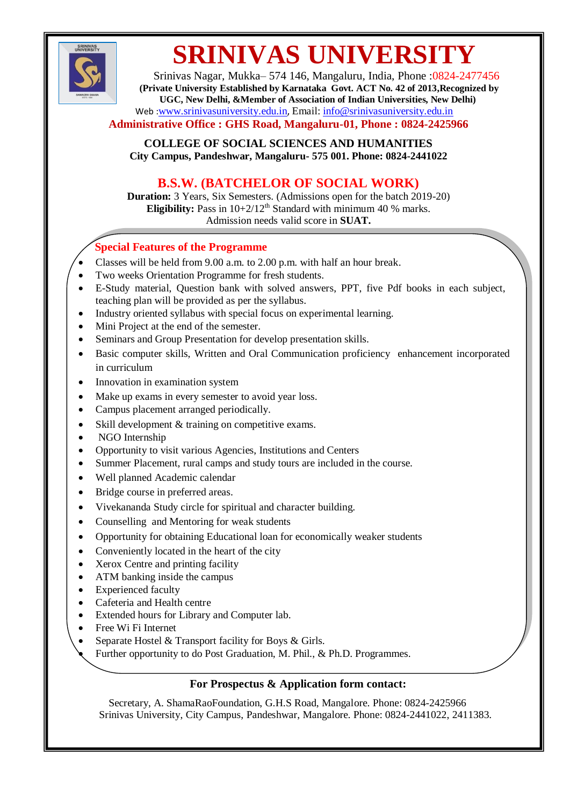

# **SRINIVAS UNIVERSITY**

Srinivas Nagar, Mukka– 574 146, Mangaluru, India, Phone :0824-2477456 **(Private University Established by Karnataka Govt. ACT No. 42 of 2013,Recognized by UGC, New Delhi, &Member of Association of Indian Universities, New Delhi)** Web :[www.srinivasuniversity.edu.in](http://www.srinivasuniversity.edu.in/), Email: [info@srinivasuniversity.edu.in](mailto:info@srinivasuniversity.edu.in)

#### **Administrative Office : GHS Road, Mangaluru-01, Phone : 0824-2425966**

**COLLEGE OF SOCIAL SCIENCES AND HUMANITIES City Campus, Pandeshwar, Mangaluru- 575 001. Phone: 0824-2441022**

## **B.S.W. (BATCHELOR OF SOCIAL WORK)**

**Duration:** 3 Years, Six Semesters. (Admissions open for the batch 2019-20) **Eligibility:** Pass in  $10+2/12$ <sup>th</sup> Standard with minimum 40 % marks. Admission needs valid score in **SUAT.**

### **Special Features of the Programme**

- Classes will be held from 9.00 a.m. to 2.00 p.m. with half an hour break.
- Two weeks Orientation Programme for fresh students.
- E-Study material, Question bank with solved answers, PPT, five Pdf books in each subject, teaching plan will be provided as per the syllabus.
- Industry oriented syllabus with special focus on experimental learning.
- Mini Project at the end of the semester.
- Seminars and Group Presentation for develop presentation skills.
- Basic computer skills, Written and Oral Communication proficiency enhancement incorporated in curriculum
- Innovation in examination system
- Make up exams in every semester to avoid year loss.
- Campus placement arranged periodically.
- Skill development & training on competitive exams.
- NGO Internship
- Opportunity to visit various Agencies, Institutions and Centers
- Summer Placement, rural camps and study tours are included in the course.
- Well planned Academic calendar
- Bridge course in preferred areas.
- Vivekananda Study circle for spiritual and character building.
- Counselling and Mentoring for weak students
- Opportunity for obtaining Educational loan for economically weaker students
- Conveniently located in the heart of the city
- Xerox Centre and printing facility
- ATM banking inside the campus
- Experienced faculty
- Cafeteria and Health centre
- Extended hours for Library and Computer lab.
- Free Wi Fi Internet
- Separate Hostel & Transport facility for Boys & Girls.
- Further opportunity to do Post Graduation, M. Phil., & Ph.D. Programmes.

#### **For Prospectus & Application form contact:**

Secretary, A. ShamaRaoFoundation, G.H.S Road, Mangalore. Phone: 0824-2425966 Srinivas University, City Campus, Pandeshwar, Mangalore. Phone: 0824-2441022, 2411383.